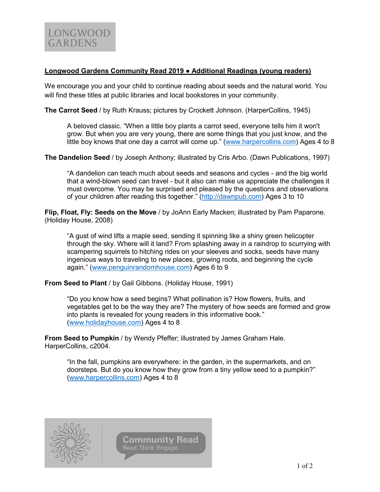## **Longwood Gardens Community Read 2019 ● Additional Readings (young readers)**

We encourage you and your child to continue reading about seeds and the natural world. You will find these titles at public libraries and local bookstores in your community.

**The Carrot Seed** / by Ruth Krauss; pictures by Crockett Johnson. (HarperCollins, 1945)

A beloved classic. "When a little boy plants a carrot seed, everyone tells him it won't grow. But when you are very young, there are some things that you just know, and the little boy knows that one day a carrot will come up." ([www.harpercollins.com\)](http://www.harpercollins.com/) Ages 4 to 8

**The Dandelion Seed** / by Joseph Anthony; illustrated by Cris Arbo. (Dawn Publications, 1997)

"A dandelion can teach much about seeds and seasons and cycles - and the big world that a wind-blown seed can travel - but it also can make us appreciate the challenges it must overcome. You may be surprised and pleased by the questions and observations of your children after reading this together." ([http://dawnpub.com\)](http://dawnpub.com/) Ages 3 to 10

**Flip, Float, Fly: Seeds on the Move** / by JoAnn Early Macken; illustrated by Pam Paparone. (Holiday House, 2008)

"A gust of wind lifts a maple seed, sending it spinning like a shiny green helicopter through the sky. Where will it land? From splashing away in a raindrop to scurrying with scampering squirrels to hitching rides on your sleeves and socks, seeds have many ingenious ways to traveling to new places, growing roots, and beginning the cycle again." ([www.penguinrandomhouse.com\)](http://www.penguinrandomhouse.com/) Ages 6 to 9

**From Seed to Plant** / by Gail Gibbons. (Holiday House, 1991)

"Do you know how a seed begins? What pollination is? How flowers, fruits, and vegetables get to be the way they are? The mystery of how seeds are formed and grow into plants is revealed for young readers in this informative book." [\(www.holidayhouse.com\)](http://www.holidayhouse.com/) Ages 4 to 8

**From Seed to Pumpkin** / by Wendy Pfeffer; illustrated by James Graham Hale. HarperCollins, c2004.

"In the fall, pumpkins are everywhere: in the garden, in the supermarkets, and on doorsteps. But do you know how they grow from a tiny yellow seed to a pumpkin?" [\(www.harpercollins.com\)](http://www.harpercollins.com/) Ages 4 to 8